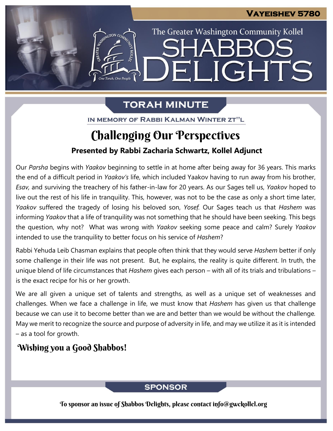The Greater Washington Community Kollel

ELIGHTS

# **TORAH MINUTE**

IN MEMORY OF RABBI KALMAN WINTER ZT"L

# **Presented by Rabbi Zacharia Schwartz, Kollel Adjunct** Challenging Our Perspectives

Our *Parsha* begins with *Yaakov* beginning to settle in at home after being away for 36 years. This marks the end of a difficult period in *Yaakov's* life, which included Yaakov having to run away from his brother, *Esav,* and surviving the treachery of his father-in-law for 20 years. As our Sages tell us, *Yaakov* hoped to live out the rest of his life in tranquility. This, however, was not to be the case as only a short time later, *Yaakov* suffered the tragedy of losing his beloved son, *Yosef.* Our Sages teach us that *Hashem* was informing *Yaakov* that a life of tranquility was not something that he should have been seeking. This begs the question, why not? What was wrong with *Yaakov* seeking some peace and calm? Surely *Yaakov* intended to use the tranquility to better focus on his service of *Hashem*?

Rabbi Yehuda Leib Chasman explains that people often think that they would serve *Hashem* better if only some challenge in their life was not present. But, he explains, the reality is quite different. In truth, the unique blend of life circumstances that *Hashem* gives each person – with all of its trials and tribulations – is the exact recipe for his or her growth.

We are all given a unique set of talents and strengths, as well as a unique set of weaknesses and challenges. When we face a challenge in life, we must know that *Hashem* has given us that challenge because we can use it to become better than we are and better than we would be without the challenge*.* May we merit to recognize the source and purpose of adversity in life, and may we utilize it as it is intended – as a tool for growth.

## Wishing you a Good Shabbos!

## **SPONSOR**

To sponsor an issue of Shabbos Delights, please contact info@gwckollel.org